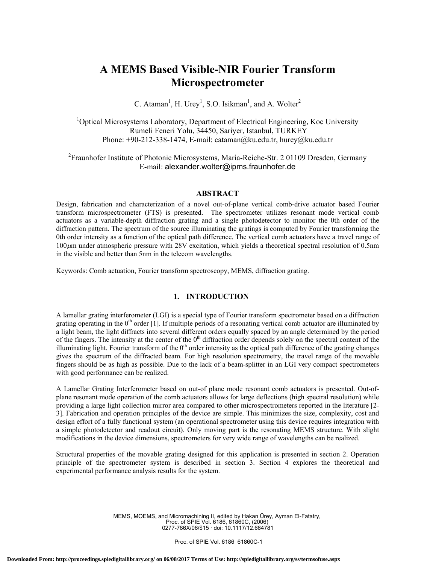# **A MEMS Based Visible-NIR Fourier Transform Microspectrometer**

C. Ataman<sup>1</sup>, H. Urey<sup>1</sup>, S.O. Isikman<sup>1</sup>, and A. Wolter<sup>2</sup>

<sup>1</sup>Optical Microsystems Laboratory, Department of Electrical Engineering, Koc University Rumeli Feneri Yolu, 34450, Sariyer, Istanbul, TURKEY Phone:  $+90-212-338-1474$ , E-mail: cataman@ku.edu.tr, hurey@ku.edu.tr

<sup>2</sup> Fraunhofer Institute of Photonic Microsystems, Maria-Reiche-Str. 2 01109 Dresden, Germany E-mail: alexander.wolter@ipms.fraunhofer.de

## **ABSTRACT**

Design, fabrication and characterization of a novel out-of-plane vertical comb-drive actuator based Fourier transform microspectrometer (FTS) is presented. The spectrometer utilizes resonant mode vertical comb actuators as a variable-depth diffraction grating and a single photodetector to monitor the 0th order of the diffraction pattern. The spectrum of the source illuminating the gratings is computed by Fourier transforming the 0th order intensity as a function of the optical path difference. The vertical comb actuators have a travel range of 100µm under atmospheric pressure with 28V excitation, which yields a theoretical spectral resolution of 0.5nm in the visible and better than 5nm in the telecom wavelengths.

Keywords: Comb actuation, Fourier transform spectroscopy, MEMS, diffraction grating.

## **1. INTRODUCTION**

A lamellar grating interferometer (LGI) is a special type of Fourier transform spectrometer based on a diffraction grating operating in the  $0<sup>th</sup>$  order [1]. If multiple periods of a resonating vertical comb actuator are illuminated by a light beam, the light diffracts into several different orders equally spaced by an angle determined by the period of the fingers. The intensity at the center of the  $0<sup>th</sup>$  diffraction order depends solely on the spectral content of the illuminating light. Fourier transform of the  $0<sup>th</sup>$  order intensity as the optical path difference of the grating changes gives the spectrum of the diffracted beam. For high resolution spectrometry, the travel range of the movable fingers should be as high as possible. Due to the lack of a beam-splitter in an LGI very compact spectrometers with good performance can be realized.

A Lamellar Grating Interferometer based on out-of plane mode resonant comb actuators is presented. Out-ofplane resonant mode operation of the comb actuators allows for large deflections (high spectral resolution) while providing a large light collection mirror area compared to other microspectrometers reported in the literature [2- 3]. Fabrication and operation principles of the device are simple. This minimizes the size, complexity, cost and design effort of a fully functional system (an operational spectrometer using this device requires integration with a simple photodetector and readout circuit). Only moving part is the resonating MEMS structure. With slight modifications in the device dimensions, spectrometers for very wide range of wavelengths can be realized.

Structural properties of the movable grating designed for this application is presented in section 2. Operation principle of the spectrometer system is described in section 3. Section 4 explores the theoretical and experimental performance analysis results for the system.

> MEMS, MOEMS, and Micromachining II, edited by Hakan Ürey, Ayman El-Fatatry, Proc. of SPIE Vol. 6186, 61860C, (2006) 0277-786X/06/\$15 · doi: 10.1117/12.664781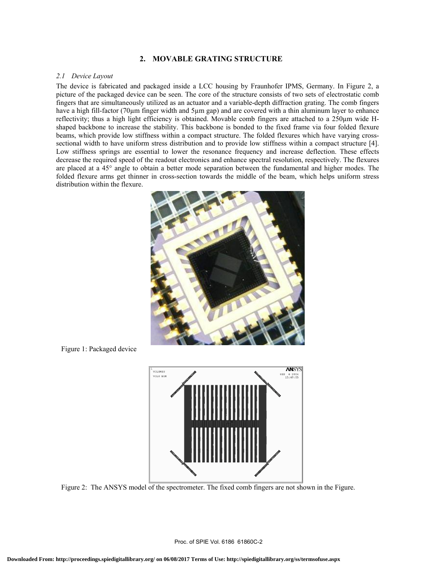# **2. MOVABLE GRATING STRUCTURE**

### *2.1 Device Layout*

The device is fabricated and packaged inside a LCC housing by Fraunhofer IPMS, Germany. In Figure 2, a picture of the packaged device can be seen. The core of the structure consists of two sets of electrostatic comb fingers that are simultaneously utilized as an actuator and a variable-depth diffraction grating. The comb fingers have a high fill-factor (70µm finger width and 5µm gap) and are covered with a thin aluminum layer to enhance reflectivity; thus a high light efficiency is obtained. Movable comb fingers are attached to a 250µm wide Hshaped backbone to increase the stability. This backbone is bonded to the fixed frame via four folded flexure beams, which provide low stiffness within a compact structure. The folded flexures which have varying crosssectional width to have uniform stress distribution and to provide low stiffness within a compact structure [4]. Low stiffness springs are essential to lower the resonance frequency and increase deflection. These effects decrease the required speed of the readout electronics and enhance spectral resolution, respectively. The flexures are placed at a 45° angle to obtain a better mode separation between the fundamental and higher modes. The folded flexure arms get thinner in cross-section towards the middle of the beam, which helps uniform stress distribution within the flexure.



Figure 1: Packaged device



Figure 2: The ANSYS model of the spectrometer. The fixed comb fingers are not shown in the Figure.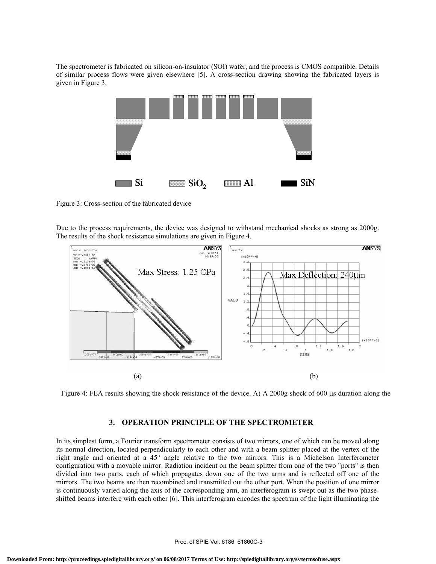The spectrometer is fabricated on silicon-on-insulator (SOI) wafer, and the process is CMOS compatible. Details of similar process flows were given elsewhere [5]. A cross-section drawing showing the fabricated layers is given in Figure 3.

|      | <b>TITLE IN</b><br><b>TITULITII</b><br><b>THE REAL</b> | <b>CONTINUE</b><br><b>MARKET</b><br><b>CITIZITIN</b> | ->>>>>>>>>>>       |
|------|--------------------------------------------------------|------------------------------------------------------|--------------------|
| I Si | $\Box$ $\mathrm{SiO}_2$                                | $\blacksquare$ Al                                    | $\blacksquare$ SiN |

Figure 3: Cross-section of the fabricated device

Due to the process requirements, the device was designed to withstand mechanical shocks as strong as 2000g. The results of the shock resistance simulations are given in Figure 4.



Figure 4: FEA results showing the shock resistance of the device. A) A 2000g shock of 600 µs duration along the

# **3. OPERATION PRINCIPLE OF THE SPECTROMETER**

In its simplest form, a Fourier transform spectrometer consists of two mirrors, one of which can be moved along its normal direction, located perpendicularly to each other and with a beam splitter placed at the vertex of the right angle and oriented at a 45° angle relative to the two mirrors. This is a Michelson Interferometer configuration with a movable mirror. Radiation incident on the beam splitter from one of the two "ports" is then divided into two parts, each of which propagates down one of the two arms and is reflected off one of the mirrors. The two beams are then recombined and transmitted out the other port. When the position of one mirror is continuously varied along the axis of the corresponding arm, an interferogram is swept out as the two phaseshifted beams interfere with each other [6]. This interferogram encodes the spectrum of the light illuminating the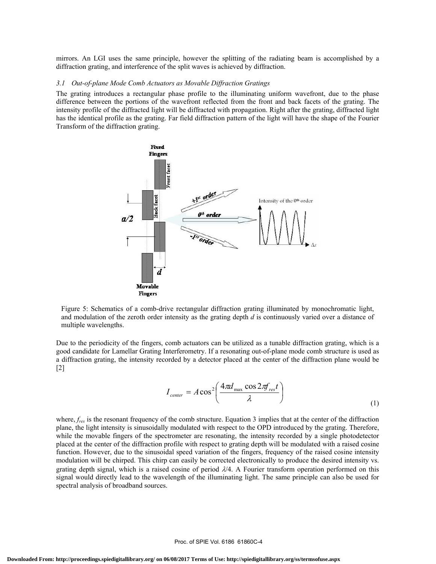mirrors. An LGI uses the same principle, however the splitting of the radiating beam is accomplished by a diffraction grating, and interference of the split waves is achieved by diffraction.

### *3.1 Out-of-plane Mode Comb Actuators as Movable Diffraction Gratings*

The grating introduces a rectangular phase profile to the illuminating uniform wavefront, due to the phase difference between the portions of the wavefront reflected from the front and back facets of the grating. The intensity profile of the diffracted light will be diffracted with propagation. Right after the grating, diffracted light has the identical profile as the grating. Far field diffraction pattern of the light will have the shape of the Fourier Transform of the diffraction grating.



Figure 5: Schematics of a comb-drive rectangular diffraction grating illuminated by monochromatic light, and modulation of the zeroth order intensity as the grating depth *d* is continuously varied over a distance of multiple wavelengths.

Due to the periodicity of the fingers, comb actuators can be utilized as a tunable diffraction grating, which is a good candidate for Lamellar Grating Interferometry. If a resonating out-of-plane mode comb structure is used as a diffraction grating, the intensity recorded by a detector placed at the center of the diffraction plane would be [2]

$$
I_{center} = A \cos^2 \left( \frac{4 \pi d_{\text{max}} \cos 2 \pi f_{\text{res}} t}{\lambda} \right)
$$
 (1)

where,  $f_{res}$  is the resonant frequency of the comb structure. Equation 3 implies that at the center of the diffraction plane, the light intensity is sinusoidally modulated with respect to the OPD introduced by the grating. Therefore, while the movable fingers of the spectrometer are resonating, the intensity recorded by a single photodetector placed at the center of the diffraction profile with respect to grating depth will be modulated with a raised cosine function. However, due to the sinusoidal speed variation of the fingers, frequency of the raised cosine intensity modulation will be chirped. This chirp can easily be corrected electronically to produce the desired intensity vs. grating depth signal, which is a raised cosine of period  $\lambda/4$ . A Fourier transform operation performed on this signal would directly lead to the wavelength of the illuminating light. The same principle can also be used for spectral analysis of broadband sources.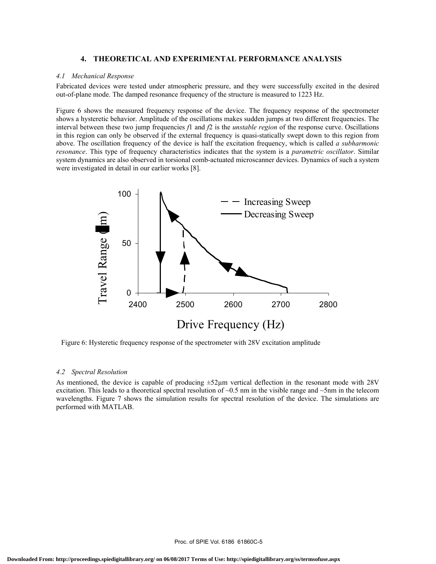## **4. THEORETICAL AND EXPERIMENTAL PERFORMANCE ANALYSIS**

#### *4.1 Mechanical Response*

Fabricated devices were tested under atmospheric pressure, and they were successfully excited in the desired out-of-plane mode. The damped resonance frequency of the structure is measured to 1223 Hz.

Figure 6 shows the measured frequency response of the device. The frequency response of the spectrometer shows a hysteretic behavior. Amplitude of the oscillations makes sudden jumps at two different frequencies. The interval between these two jump frequencies *f*1 and *f*2 is the *unstable region* of the response curve. Oscillations in this region can only be observed if the external frequency is quasi-statically swept down to this region from above. The oscillation frequency of the device is half the excitation frequency, which is called *a subharmonic resonance*. This type of frequency characteristics indicates that the system is a *parametric oscillator*. Similar system dynamics are also observed in torsional comb-actuated microscanner devices. Dynamics of such a system were investigated in detail in our earlier works [8].



Figure 6: Hysteretic frequency response of the spectrometer with 28V excitation amplitude

#### *4.2 Spectral Resolution*

As mentioned, the device is capable of producing  $\pm 52\mu m$  vertical deflection in the resonant mode with 28V excitation. This leads to a theoretical spectral resolution of  $\sim 0.5$  nm in the visible range and  $\sim 5$ nm in the telecom wavelengths. Figure 7 shows the simulation results for spectral resolution of the device. The simulations are performed with MATLAB.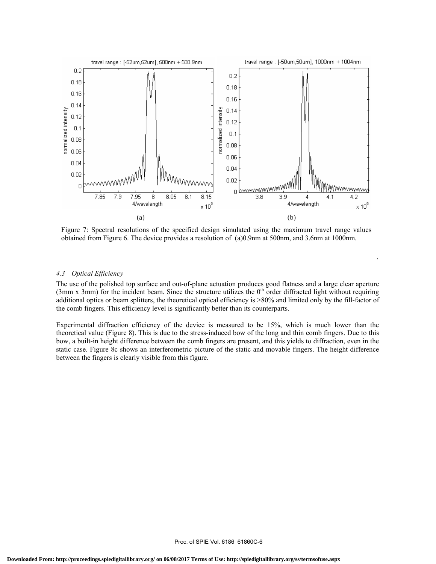

Figure 7: Spectral resolutions of the specified design simulated using the maximum travel range values obtained from Figure 6. The device provides a resolution of (a)0.9nm at 500nm, and 3.6nm at 1000nm.

.

## *4.3 Optical Efficiency*

The use of the polished top surface and out-of-plane actuation produces good flatness and a large clear aperture (3mm x 3mm) for the incident beam. Since the structure utilizes the  $0<sup>th</sup>$  order diffracted light without requiring additional optics or beam splitters, the theoretical optical efficiency is >80% and limited only by the fill-factor of the comb fingers. This efficiency level is significantly better than its counterparts.

Experimental diffraction efficiency of the device is measured to be 15%, which is much lower than the theoretical value (Figure 8). This is due to the stress-induced bow of the long and thin comb fingers. Due to this bow, a built-in height difference between the comb fingers are present, and this yields to diffraction, even in the static case. Figure 8c shows an interferometric picture of the static and movable fingers. The height difference between the fingers is clearly visible from this figure.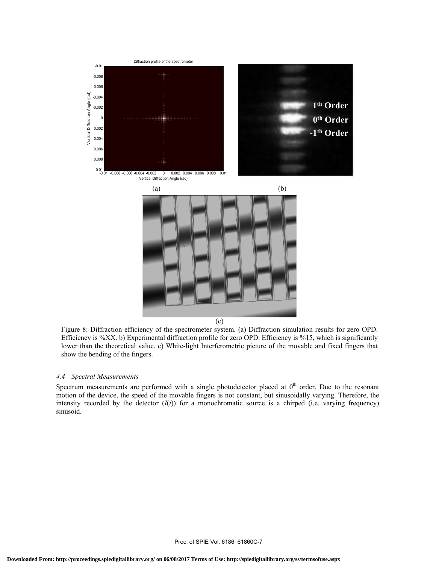

(c)

Figure 8: Diffraction efficiency of the spectrometer system. (a) Diffraction simulation results for zero OPD. Efficiency is %XX. b) Experimental diffraction profile for zero OPD. Efficiency is %15, which is significantly lower than the theoretical value. c) White-light Interferometric picture of the movable and fixed fingers that show the bending of the fingers.

## *4.4 Spectral Measurements*

Spectrum measurements are performed with a single photodetector placed at  $0<sup>th</sup>$  order. Due to the resonant motion of the device, the speed of the movable fingers is not constant, but sinusoidally varying. Therefore, the intensity recorded by the detector  $(I(t))$  for a monochromatic source is a chirped (i.e. varying frequency) sinusoid.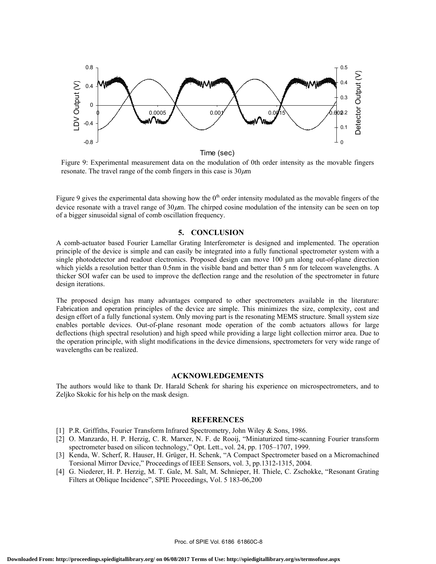

Time (sec)

Figure 9: Experimental measurement data on the modulation of 0th order intensity as the movable fingers resonate. The travel range of the comb fingers in this case is  $30 \mu m$ 

Figure 9 gives the experimental data showing how the  $0<sup>th</sup>$  order intensity modulated as the movable fingers of the device resonate with a travel range of  $30\mu$ m. The chirped cosine modulation of the intensity can be seen on top of a bigger sinusoidal signal of comb oscillation frequency.

# **5. CONCLUSION**

A comb-actuator based Fourier Lamellar Grating Interferometer is designed and implemented. The operation principle of the device is simple and can easily be integrated into a fully functional spectrometer system with a single photodetector and readout electronics. Proposed design can move 100 µm along out-of-plane direction which yields a resolution better than 0.5nm in the visible band and better than 5 nm for telecom wavelengths. A thicker SOI wafer can be used to improve the deflection range and the resolution of the spectrometer in future design iterations.

The proposed design has many advantages compared to other spectrometers available in the literature: Fabrication and operation principles of the device are simple. This minimizes the size, complexity, cost and design effort of a fully functional system. Only moving part is the resonating MEMS structure. Small system size enables portable devices. Out-of-plane resonant mode operation of the comb actuators allows for large deflections (high spectral resolution) and high speed while providing a large light collection mirror area. Due to the operation principle, with slight modifications in the device dimensions, spectrometers for very wide range of wavelengths can be realized.

## **ACKNOWLEDGEMENTS**

The authors would like to thank Dr. Harald Schenk for sharing his experience on microspectrometers, and to Zeljko Skokic for his help on the mask design.

#### **REFERENCES**

- [1] P.R. Griffiths, Fourier Transform Infrared Spectrometry, John Wiley & Sons, 1986.
- [2] O. Manzardo, H. P. Herzig, C. R. Marxer, N. F. de Rooij, "Miniaturized time-scanning Fourier transform spectrometer based on silicon technology," Opt. Lett., vol. 24, pp. 1705–1707, 1999.
- [3] Kenda, W. Scherf, R. Hauser, H. Grüger, H. Schenk, "A Compact Spectrometer based on a Micromachined Torsional Mirror Device," Proceedings of IEEE Sensors, vol. 3, pp.1312-1315, 2004.
- [4] G. Niederer, H. P. Herzig, M. T. Gale, M. Salt, M. Schnieper, H. Thiele, C. Zschokke, "Resonant Grating Filters at Oblique Incidence", SPIE Proceedings, Vol. 5 183-06,200